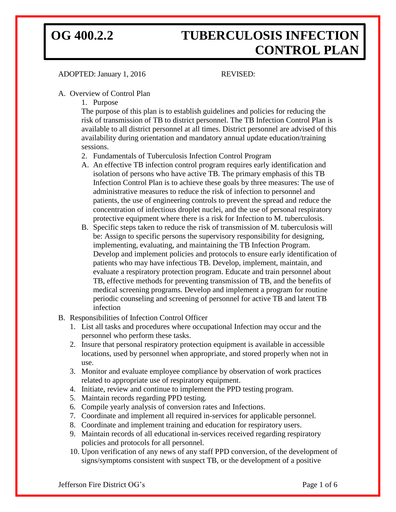### ADOPTED: January 1, 2016 REVISED:

### A. Overview of Control Plan

1. Purpose

The purpose of this plan is to establish guidelines and policies for reducing the risk of transmission of TB to district personnel. The TB Infection Control Plan is available to all district personnel at all times. District personnel are advised of this availability during orientation and mandatory annual update education/training sessions.

- 2. Fundamentals of Tuberculosis Infection Control Program
- A. An effective TB infection control program requires early identification and isolation of persons who have active TB. The primary emphasis of this TB Infection Control Plan is to achieve these goals by three measures: The use of administrative measures to reduce the risk of infection to personnel and patients, the use of engineering controls to prevent the spread and reduce the concentration of infectious droplet nuclei, and the use of personal respiratory protective equipment where there is a risk for Infection to M. tuberculosis.
- B. Specific steps taken to reduce the risk of transmission of M. tuberculosis will be: Assign to specific persons the supervisory responsibility for designing, implementing, evaluating, and maintaining the TB Infection Program. Develop and implement policies and protocols to ensure early identification of patients who may have infectious TB. Develop, implement, maintain, and evaluate a respiratory protection program. Educate and train personnel about TB, effective methods for preventing transmission of TB, and the benefits of medical screening programs. Develop and implement a program for routine periodic counseling and screening of personnel for active TB and latent TB infection
- B. Responsibilities of Infection Control Officer
	- 1. List all tasks and procedures where occupational Infection may occur and the personnel who perform these tasks.
	- 2. Insure that personal respiratory protection equipment is available in accessible locations, used by personnel when appropriate, and stored properly when not in use.
	- 3. Monitor and evaluate employee compliance by observation of work practices related to appropriate use of respiratory equipment.
	- 4. Initiate, review and continue to implement the PPD testing program.
	- 5. Maintain records regarding PPD testing.
	- 6. Compile yearly analysis of conversion rates and Infections.
	- 7. Coordinate and implement all required in-services for applicable personnel.
	- 8. Coordinate and implement training and education for respiratory users.
	- 9. Maintain records of all educational in-services received regarding respiratory policies and protocols for all personnel.
	- 10. Upon verification of any news of any staff PPD conversion, of the development of signs/symptoms consistent with suspect TB, or the development of a positive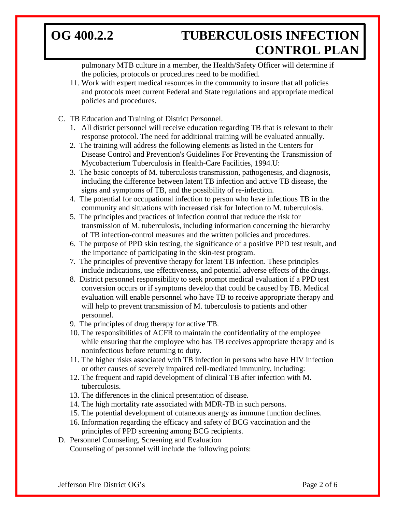pulmonary MTB culture in a member, the Health/Safety Officer will determine if the policies, protocols or procedures need to be modified.

- 11. Work with expert medical resources in the community to insure that all policies and protocols meet current Federal and State regulations and appropriate medical policies and procedures.
- C. TB Education and Training of District Personnel.
	- 1. All district personnel will receive education regarding TB that is relevant to their response protocol. The need for additional training will be evaluated annually.
	- 2. The training will address the following elements as listed in the Centers for Disease Control and Prevention's Guidelines For Preventing the Transmission of Mycobacterium Tuberculosis in Health-Care Facilities, 1994.U:
	- 3. The basic concepts of M. tuberculosis transmission, pathogenesis, and diagnosis, including the difference between latent TB infection and active TB disease, the signs and symptoms of TB, and the possibility of re-infection.
	- 4. The potential for occupational infection to person who have infectious TB in the community and situations with increased risk for Infection to M. tuberculosis.
	- 5. The principles and practices of infection control that reduce the risk for transmission of M. tuberculosis, including information concerning the hierarchy of TB infection-control measures and the written policies and procedures.
	- 6. The purpose of PPD skin testing, the significance of a positive PPD test result, and the importance of participating in the skin-test program.
	- 7. The principles of preventive therapy for latent TB infection. These principles include indications, use effectiveness, and potential adverse effects of the drugs.
	- 8. District personnel responsibility to seek prompt medical evaluation if a PPD test conversion occurs or if symptoms develop that could be caused by TB. Medical evaluation will enable personnel who have TB to receive appropriate therapy and will help to prevent transmission of M. tuberculosis to patients and other personnel.
	- 9. The principles of drug therapy for active TB.
	- 10. The responsibilities of ACFR to maintain the confidentiality of the employee while ensuring that the employee who has TB receives appropriate therapy and is noninfectious before returning to duty.
	- 11. The higher risks associated with TB infection in persons who have HIV infection or other causes of severely impaired cell-mediated immunity, including:
	- 12. The frequent and rapid development of clinical TB after infection with M. tuberculosis.
	- 13. The differences in the clinical presentation of disease.
	- 14. The high mortality rate associated with MDR-TB in such persons.
	- 15. The potential development of cutaneous anergy as immune function declines.
	- 16. Information regarding the efficacy and safety of BCG vaccination and the principles of PPD screening among BCG recipients.
- D. Personnel Counseling, Screening and Evaluation Counseling of personnel will include the following points: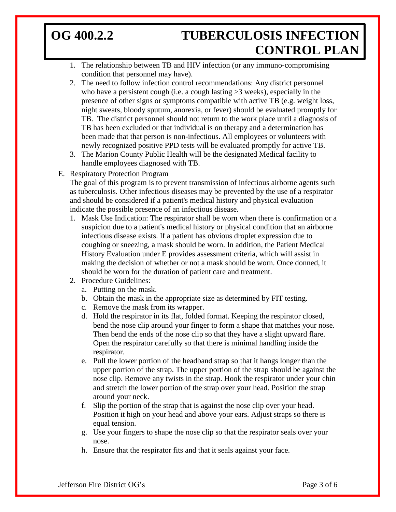- 1. The relationship between TB and HIV infection (or any immuno-compromising condition that personnel may have).
- 2. The need to follow infection control recommendations: Any district personnel who have a persistent cough (i.e. a cough lasting  $>3$  weeks), especially in the presence of other signs or symptoms compatible with active TB (e.g. weight loss, night sweats, bloody sputum, anorexia, or fever) should be evaluated promptly for TB. The district personnel should not return to the work place until a diagnosis of TB has been excluded or that individual is on therapy and a determination has been made that that person is non-infectious. All employees or volunteers with newly recognized positive PPD tests will be evaluated promptly for active TB.
- 3. The Marion County Public Health will be the designated Medical facility to handle employees diagnosed with TB.
- E. Respiratory Protection Program

The goal of this program is to prevent transmission of infectious airborne agents such as tuberculosis. Other infectious diseases may be prevented by the use of a respirator and should be considered if a patient's medical history and physical evaluation indicate the possible presence of an infectious disease.

- 1. Mask Use Indication: The respirator shall be worn when there is confirmation or a suspicion due to a patient's medical history or physical condition that an airborne infectious disease exists. If a patient has obvious droplet expression due to coughing or sneezing, a mask should be worn. In addition, the Patient Medical History Evaluation under E provides assessment criteria, which will assist in making the decision of whether or not a mask should be worn. Once donned, it should be worn for the duration of patient care and treatment.
- 2. Procedure Guidelines:
	- a. Putting on the mask.
	- b. Obtain the mask in the appropriate size as determined by FIT testing.
	- c. Remove the mask from its wrapper.
	- d. Hold the respirator in its flat, folded format. Keeping the respirator closed, bend the nose clip around your finger to form a shape that matches your nose. Then bend the ends of the nose clip so that they have a slight upward flare. Open the respirator carefully so that there is minimal handling inside the respirator.
	- e. Pull the lower portion of the headband strap so that it hangs longer than the upper portion of the strap. The upper portion of the strap should be against the nose clip. Remove any twists in the strap. Hook the respirator under your chin and stretch the lower portion of the strap over your head. Position the strap around your neck.
	- f. Slip the portion of the strap that is against the nose clip over your head. Position it high on your head and above your ears. Adjust straps so there is equal tension.
	- g. Use your fingers to shape the nose clip so that the respirator seals over your nose.
	- h. Ensure that the respirator fits and that it seals against your face.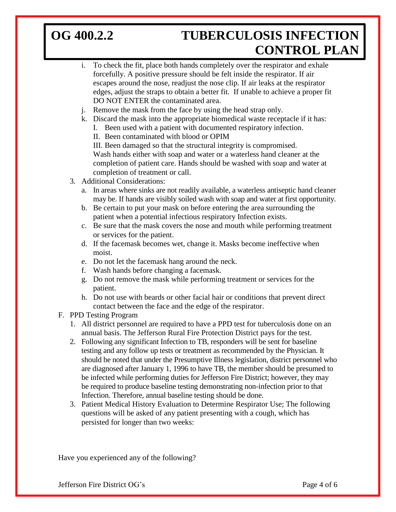- i. To check the fit, place both hands completely over the respirator and exhale forcefully. A positive pressure should be felt inside the respirator. If air escapes around the nose, readjust the nose clip. If air leaks at the respirator edges, adjust the straps to obtain a better fit. If unable to achieve a proper fit DO NOT ENTER the contaminated area.
- j. Remove the mask from the face by using the head strap only.
- k. Discard the mask into the appropriate biomedical waste receptacle if it has:
	- I. Been used with a patient with documented respiratory infection.
	- II. Been contaminated with blood or OPIM

III. Been damaged so that the structural integrity is compromised. Wash hands either with soap and water or a waterless hand cleaner at the completion of patient care. Hands should be washed with soap and water at completion of treatment or call.

- 3. Additional Considerations:
	- a. In areas where sinks are not readily available, a waterless antiseptic hand cleaner may be. If hands are visibly soiled wash with soap and water at first opportunity.
	- b. Be certain to put your mask on before entering the area surrounding the patient when a potential infectious respiratory Infection exists.
	- c. Be sure that the mask covers the nose and mouth while performing treatment or services for the patient.
	- d. If the facemask becomes wet, change it. Masks become ineffective when moist.
	- e. Do not let the facemask hang around the neck.
	- f. Wash hands before changing a facemask.
	- g. Do not remove the mask while performing treatment or services for the patient.
	- h. Do not use with beards or other facial hair or conditions that prevent direct contact between the face and the edge of the respirator.
- F. PPD Testing Program
	- 1. All district personnel are required to have a PPD test for tuberculosis done on an annual basis. The Jefferson Rural Fire Protection District pays for the test.
	- 2. Following any significant Infection to TB, responders will be sent for baseline testing and any follow up tests or treatment as recommended by the Physician. It should be noted that under the Presumptive Illness legislation, district personnel who are diagnosed after January 1, 1996 to have TB, the member should be presumed to be infected while performing duties for Jefferson Fire District; however, they may be required to produce baseline testing demonstrating non-infection prior to that Infection. Therefore, annual baseline testing should be done.
	- 3. Patient Medical History Evaluation to Determine Respirator Use; The following questions will be asked of any patient presenting with a cough, which has persisted for longer than two weeks:

Have you experienced any of the following?

Jefferson Fire District OG's Page 4 of 6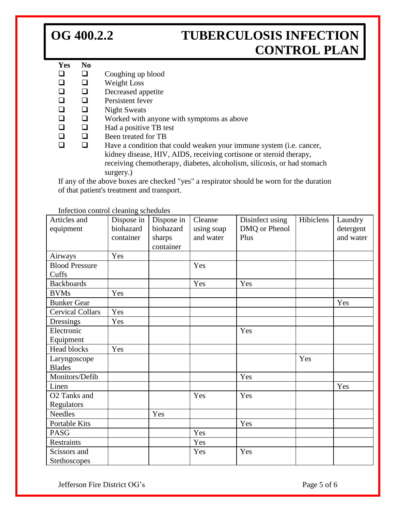### **Yes No**

- $\Box$   $\Box$  Coughing up blood
- $\Box$  Weight Loss
- $\Box$   $\Box$  Decreased appetite<br> $\Box$   $\Box$  Persistent fever
- Persistent fever
- $\Box$  Night Sweats
- $\Box$  Worked with anyone with symptoms as above
- $\Box$  Had a positive TB test
- $\Box$   $\Box$  Been treated for TB<br> $\Box$  Have a condition that
	- Have a condition that could weaken your immune system (i.e. cancer, kidney disease, HIV, AIDS, receiving cortisone or steroid therapy, receiving chemotherapy, diabetes, alcoholism, silicosis, or had stomach surgery.)

If any of the above boxes are checked "yes" a respirator should be worn for the duration of that patient's treatment and transport.

| Articles and<br>equipment      | Dispose in<br>biohazard<br>container | Dispose in<br>biohazard<br>sharps<br>container | Cleanse<br>using soap<br>and water | Disinfect using<br>DMQ or Phenol<br>Plus | Hibiclens | Laundry<br>detergent<br>and water |
|--------------------------------|--------------------------------------|------------------------------------------------|------------------------------------|------------------------------------------|-----------|-----------------------------------|
| Airways                        | Yes                                  |                                                |                                    |                                          |           |                                   |
| <b>Blood Pressure</b><br>Cuffs |                                      |                                                | Yes                                |                                          |           |                                   |
| <b>Backboards</b>              |                                      |                                                | Yes                                | Yes                                      |           |                                   |
| <b>BVMs</b>                    | Yes                                  |                                                |                                    |                                          |           |                                   |
| <b>Bunker Gear</b>             |                                      |                                                |                                    |                                          |           | Yes                               |
| <b>Cervical Collars</b>        | Yes                                  |                                                |                                    |                                          |           |                                   |
| Dressings                      | Yes                                  |                                                |                                    |                                          |           |                                   |
| Electronic                     |                                      |                                                |                                    | Yes                                      |           |                                   |
| Equipment                      |                                      |                                                |                                    |                                          |           |                                   |
| <b>Head blocks</b>             | Yes                                  |                                                |                                    |                                          |           |                                   |
| Laryngoscope<br><b>Blades</b>  |                                      |                                                |                                    |                                          | Yes       |                                   |
| Monitors/Defib                 |                                      |                                                |                                    | Yes                                      |           |                                   |
| Linen                          |                                      |                                                |                                    |                                          |           | Yes                               |
| O2 Tanks and                   |                                      |                                                | Yes                                | Yes                                      |           |                                   |
| Regulators                     |                                      |                                                |                                    |                                          |           |                                   |
| <b>Needles</b>                 |                                      | Yes                                            |                                    |                                          |           |                                   |
| Portable Kits                  |                                      |                                                |                                    | Yes                                      |           |                                   |
| <b>PASG</b>                    |                                      |                                                | Yes                                |                                          |           |                                   |
| Restraints                     |                                      |                                                | Yes                                |                                          |           |                                   |
| Scissors and<br>Stethoscopes   |                                      |                                                | Yes                                | Yes                                      |           |                                   |

Infection control cleaning schedules

Jefferson Fire District OG's Page 5 of 6